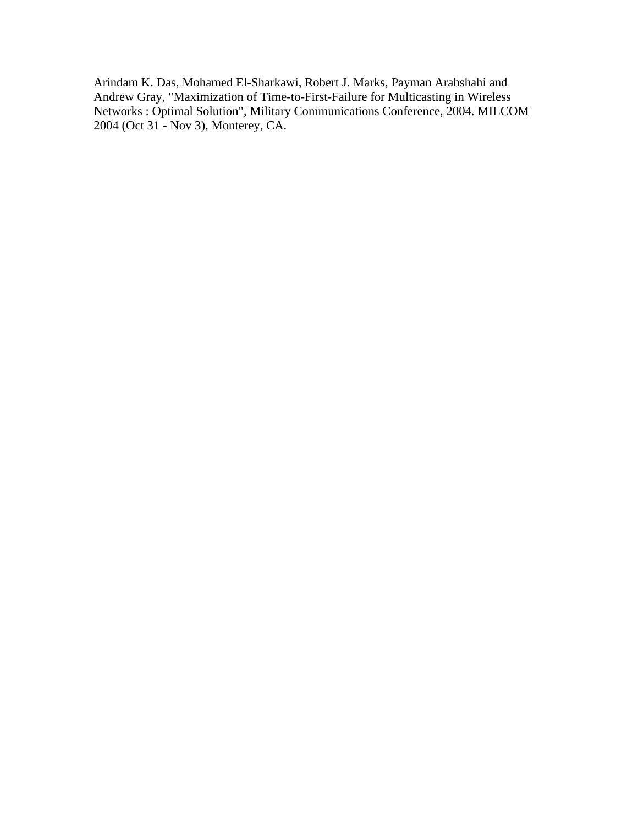Arindam K. Das, Mohamed El-Sharkawi, Robert J. Marks, Payman Arabshahi and Andrew Gray, "Maximization of Time-to-First-Failure for Multicasting in Wireless Networks : Optimal Solution", Military Communications Conference, 2004. MILCOM 2004 (Oct 31 - Nov 3), Monterey, CA.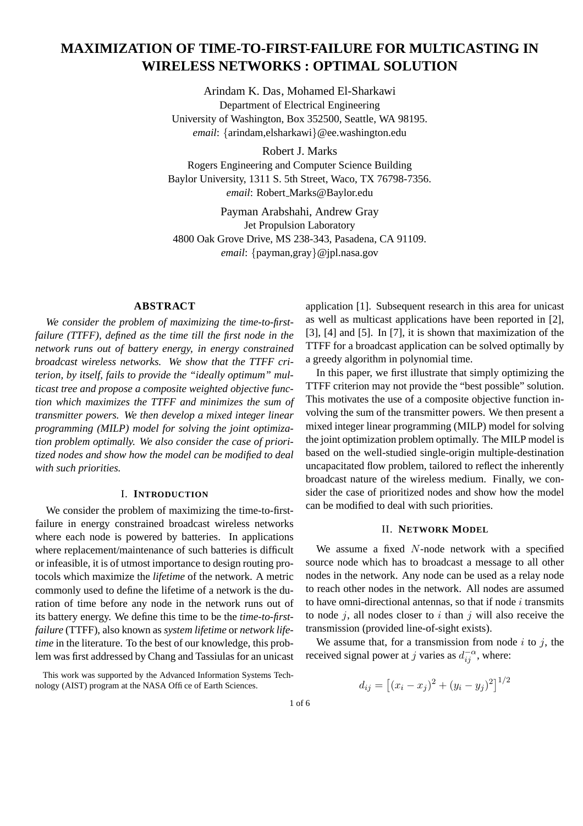# **MAXIMIZATION OF TIME-TO-FIRST-FAILURE FOR MULTICASTING IN WIRELESS NETWORKS : OPTIMAL SOLUTION**

Arindam K. Das, Mohamed El-Sharkawi Department of Electrical Engineering University of Washington, Box 352500, Seattle, WA 98195. *email*: {arindam,elsharkawi}@ee.washington.edu

Robert J. Marks Rogers Engineering and Computer Science Building Baylor University, 1311 S. 5th Street, Waco, TX 76798-7356. *email*: Robert Marks@Baylor.edu

Payman Arabshahi, Andrew Gray Jet Propulsion Laboratory 4800 Oak Grove Drive, MS 238-343, Pasadena, CA 91109. *email*: {payman,gray}@jpl.nasa.gov

## **ABSTRACT**

*We consider the problem of maximizing the time-to-firstfailure (TTFF), defined as the time till the first node in the network runs out of battery energy, in energy constrained broadcast wireless networks. We show that the TTFF criterion, by itself, fails to provide the "ideally optimum" multicast tree and propose a composite weighted objective function which maximizes the TTFF and minimizes the sum of transmitter powers. We then develop a mixed integer linear programming (MILP) model for solving the joint optimization problem optimally. We also consider the case of prioritized nodes and show how the model can be modified to deal with such priorities.*

### I. **INTRODUCTION**

We consider the problem of maximizing the time-to-firstfailure in energy constrained broadcast wireless networks where each node is powered by batteries. In applications where replacement/maintenance of such batteries is difficult or infeasible, it is of utmost importance to design routing protocols which maximize the *lifetime* of the network. A metric commonly used to define the lifetime of a network is the duration of time before any node in the network runs out of its battery energy. We define this time to be the *time-to-firstfailure* (TTFF), also known as *system lifetime* or *network lifetime* in the literature. To the best of our knowledge, this problem was first addressed by Chang and Tassiulas for an unicast

This work was supported by the Advanced Information Systems Technology (AIST) program at the NASA Office of Earth Sciences.

application [1]. Subsequent research in this area for unicast as well as multicast applications have been reported in [2], [3], [4] and [5]. In [7], it is shown that maximization of the TTFF for a broadcast application can be solved optimally by a greedy algorithm in polynomial time.

In this paper, we first illustrate that simply optimizing the TTFF criterion may not provide the "best possible" solution. This motivates the use of a composite objective function involving the sum of the transmitter powers. We then present a mixed integer linear programming (MILP) model for solving the joint optimization problem optimally. The MILP model is based on the well-studied single-origin multiple-destination uncapacitated flow problem, tailored to reflect the inherently broadcast nature of the wireless medium. Finally, we consider the case of prioritized nodes and show how the model can be modified to deal with such priorities.

#### II. **NETWORK MODEL**

We assume a fixed N-node network with a specified source node which has to broadcast a message to all other nodes in the network. Any node can be used as a relay node to reach other nodes in the network. All nodes are assumed to have omni-directional antennas, so that if node  $i$  transmits to node  $i$ , all nodes closer to  $i$  than  $j$  will also receive the transmission (provided line-of-sight exists).

We assume that, for a transmission from node  $i$  to  $j$ , the received signal power at j varies as  $d_{ij}^{-\alpha}$ , where:

$$
d_{ij} = [(x_i - x_j)^2 + (y_i - y_j)^2]^{1/2}
$$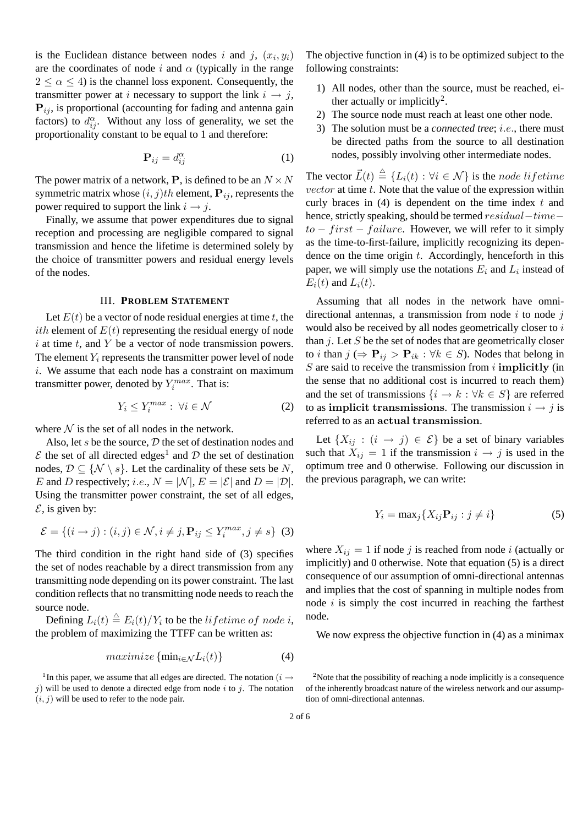is the Euclidean distance between nodes i and j,  $(x_i, y_i)$ are the coordinates of node i and  $\alpha$  (typically in the range  $2 < \alpha < 4$ ) is the channel loss exponent. Consequently, the transmitter power at i necessary to support the link  $i \rightarrow j$ ,  $P_{ij}$ , is proportional (accounting for fading and antenna gain factors) to  $d_{ij}^{\alpha}$ . Without any loss of generality, we set the proportionality constant to be equal to 1 and therefore:

$$
\mathbf{P}_{ij} = d_{ij}^{\alpha} \tag{1}
$$

The power matrix of a network, **P**, is defined to be an  $N \times N$ symmetric matrix whose  $(i, j)$ th element,  $P_{ij}$ , represents the power required to support the link  $i \rightarrow j$ .

Finally, we assume that power expenditures due to signal reception and processing are negligible compared to signal transmission and hence the lifetime is determined solely by the choice of transmitter powers and residual energy levels of the nodes.

#### III. **PROBLEM STATEMENT**

Let  $E(t)$  be a vector of node residual energies at time t, the *ith* element of  $E(t)$  representing the residual energy of node  $i$  at time  $t$ , and  $Y$  be a vector of node transmission powers. The element  $Y_i$  represents the transmitter power level of node i. We assume that each node has a constraint on maximum transmitter power, denoted by  $Y_i^{max}$ . That is:

$$
Y_i \le Y_i^{max} : \forall i \in \mathcal{N} \tag{2}
$$

where  $N$  is the set of all nodes in the network.

Also, let s be the source,  $D$  the set of destination nodes and  $\mathcal E$  the set of all directed edges<sup>1</sup> and  $\mathcal D$  the set of destination nodes,  $\mathcal{D} \subseteq \{ \mathcal{N} \setminus s \}$ . Let the cardinality of these sets be N, E and D respectively; i.e.,  $N = |\mathcal{N}|$ ,  $E = |\mathcal{E}|$  and  $D = |\mathcal{D}|$ . Using the transmitter power constraint, the set of all edges,  $\mathcal{E}$ , is given by:

$$
\mathcal{E} = \{ (i \rightarrow j) : (i, j) \in \mathcal{N}, i \neq j, \mathbf{P}_{ij} \le Y_i^{max}, j \neq s \} \tag{3}
$$

The third condition in the right hand side of (3) specifies the set of nodes reachable by a direct transmission from any transmitting node depending on its power constraint. The last condition reflects that no transmitting node needs to reach the source node.

Defining  $L_i(t) \triangleq E_i(t)/Y_i$  to be the *lifetime of node i*, the problem of maximizing the TTFF can be written as:

$$
maximize \{\min_{i \in \mathcal{N}} L_i(t)\}\tag{4}
$$

<sup>1</sup>In this paper, we assume that all edges are directed. The notation ( $i \rightarrow$ j) will be used to denote a directed edge from node i to j. The notation  $(i, j)$  will be used to refer to the node pair.

The objective function in (4) is to be optimized subject to the following constraints:

- 1) All nodes, other than the source, must be reached, either actually or implicitly<sup>2</sup>.
- 2) The source node must reach at least one other node.
- 3) The solution must be a *connected tree*; i.e., there must be directed paths from the source to all destination nodes, possibly involving other intermediate nodes.

The vector  $\vec{L}(t) \triangleq \{L_i(t) : \forall i \in \mathcal{N}\}\$ is the node lifetime  $vector$  at time  $t$ . Note that the value of the expression within curly braces in  $(4)$  is dependent on the time index t and hence, strictly speaking, should be termed residual−time−  $to - first-failure.$  However, we will refer to it simply as the time-to-first-failure, implicitly recognizing its dependence on the time origin  $t$ . Accordingly, henceforth in this paper, we will simply use the notations  $E_i$  and  $L_i$  instead of  $E_i(t)$  and  $L_i(t)$ .

Assuming that all nodes in the network have omnidirectional antennas, a transmission from node  $i$  to node  $j$ would also be received by all nodes geometrically closer to i than  $j$ . Let S be the set of nodes that are geometrically closer to *i* than  $j \Leftrightarrow \mathbf{P}_{ij} > \mathbf{P}_{ik} : \forall k \in S$ ). Nodes that belong in  $S$  are said to receive the transmission from i implicitly (in the sense that no additional cost is incurred to reach them) and the set of transmissions  $\{i \rightarrow k : \forall k \in S\}$  are referred to as implicit transmissions. The transmission  $i \rightarrow j$  is referred to as an actual transmission.

Let  $\{X_{ij} : (i \rightarrow j) \in \mathcal{E}\}\$  be a set of binary variables such that  $X_{ij} = 1$  if the transmission  $i \rightarrow j$  is used in the optimum tree and 0 otherwise. Following our discussion in the previous paragraph, we can write:

$$
Y_i = \max_j \{ X_{ij} \mathbf{P}_{ij} : j \neq i \}
$$
 (5)

where  $X_{ij} = 1$  if node j is reached from node i (actually or implicitly) and 0 otherwise. Note that equation (5) is a direct consequence of our assumption of omni-directional antennas and implies that the cost of spanning in multiple nodes from node  $i$  is simply the cost incurred in reaching the farthest node.

We now express the objective function in  $(4)$  as a minimax

<sup>&</sup>lt;sup>2</sup>Note that the possibility of reaching a node implicitly is a consequence of the inherently broadcast nature of the wireless network and our assumption of omni-directional antennas.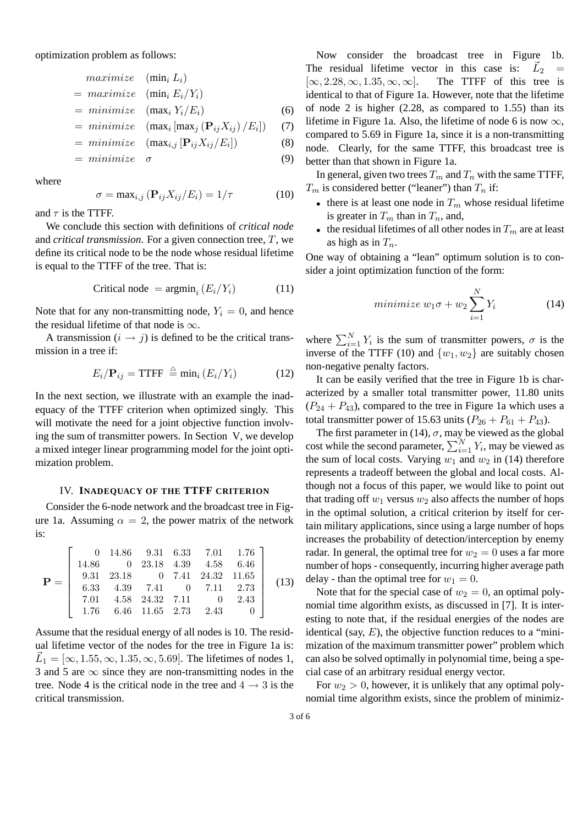optimization problem as follows:

$$
maximize (min_i L_i)
$$
  
= 
$$
maximize (min_i E_i/Y_i)
$$
  
= 
$$
minimize (max_i Y_i/E_i)
$$
  
= 
$$
minimize (max_i [max_j (P_{ij}X_{ij})/E_i])
$$
 (7)

$$
= minimize \left( \max_{i} \left[ \max_{i} \left( \mathbf{P}_{ij} X_{ij} / E_{i} \right) \right] \right) \tag{8}
$$

$$
= mutitimize \quad (\mathbf{max}_{i,j} [\mathbf{r}_{ij} \mathbf{\Lambda}_{ij}/E_i])
$$

$$
= \, \text{minimize} \quad \sigma \tag{9}
$$

where

$$
\sigma = \max_{i,j} (\mathbf{P}_{ij} X_{ij} / E_i) = 1/\tau \tag{10}
$$

and  $\tau$  is the TTFF.

We conclude this section with definitions of *critical node* and *critical transmission*. For a given connection tree, T, we define its critical node to be the node whose residual lifetime is equal to the TTFF of the tree. That is:

$$
Critical node = argmin_i (E_i/Y_i)
$$
 (11)

Note that for any non-transmitting node,  $Y_i = 0$ , and hence the residual lifetime of that node is  $\infty$ .

A transmission  $(i \rightarrow j)$  is defined to be the critical transmission in a tree if:

$$
E_i/\mathbf{P}_{ij} = \text{TTFF} \stackrel{\triangle}{=} \min_i \left( E_i/Y_i \right) \tag{12}
$$

In the next section, we illustrate with an example the inadequacy of the TTFF criterion when optimized singly. This will motivate the need for a joint objective function involving the sum of transmitter powers. In Section V, we develop a mixed integer linear programming model for the joint optimization problem.

## IV. **INADEQUACY OF THE TTFF CRITERION**

Consider the 6-node network and the broadcast tree in Figure 1a. Assuming  $\alpha = 2$ , the power matrix of the network is:

$$
\mathbf{P} = \begin{bmatrix} 0 & 14.86 & 9.31 & 6.33 & 7.01 & 1.76 \\ 14.86 & 0 & 23.18 & 4.39 & 4.58 & 6.46 \\ 9.31 & 23.18 & 0 & 7.41 & 24.32 & 11.65 \\ 6.33 & 4.39 & 7.41 & 0 & 7.11 & 2.73 \\ 7.01 & 4.58 & 24.32 & 7.11 & 0 & 2.43 \\ 1.76 & 6.46 & 11.65 & 2.73 & 2.43 & 0 \end{bmatrix}
$$
(13)

Assume that the residual energy of all nodes is 10. The residual lifetime vector of the nodes for the tree in Figure 1a is:  $\vec{L}_1 = [\infty, 1.55, \infty, 1.35, \infty, 5.69]$ . The lifetimes of nodes 1, 3 and 5 are  $\infty$  since they are non-transmitting nodes in the tree. Node 4 is the critical node in the tree and  $4 \rightarrow 3$  is the critical transmission.

Now consider the broadcast tree in Figure 1b. The residual lifetime vector in this case is:  $L_2 =$  $[\infty, 2.28, \infty, 1.35, \infty, \infty]$ . The TTFF of this tree is identical to that of Figure 1a. However, note that the lifetime of node 2 is higher (2.28, as compared to 1.55) than its lifetime in Figure 1a. Also, the lifetime of node 6 is now  $\infty$ , compared to 5.69 in Figure 1a, since it is a non-transmitting node. Clearly, for the same TTFF, this broadcast tree is better than that shown in Figure 1a.

In general, given two trees  $T_m$  and  $T_n$  with the same TTFF,  $T_m$  is considered better ("leaner") than  $T_n$  if:

- there is at least one node in  $T_m$  whose residual lifetime is greater in  $T_m$  than in  $T_n$ , and,
- the residual lifetimes of all other nodes in  $T_m$  are at least as high as in  $T_n$ .

One way of obtaining a "lean" optimum solution is to consider a joint optimization function of the form:

$$
minimize w_1 \sigma + w_2 \sum_{i=1}^{N} Y_i
$$
 (14)

where  $\sum_{i=1}^{N} Y_i$  is the sum of transmitter powers,  $\sigma$  is the inverse of the TTFF (10) and  $\{w_1, w_2\}$  are suitably chosen non-negative penalty factors.

It can be easily verified that the tree in Figure 1b is characterized by a smaller total transmitter power, 11.80 units  $(P_{24} + P_{43})$ , compared to the tree in Figure 1a which uses a total transmitter power of 15.63 units  $(P_{26} + P_{61} + P_{43})$ .

The first parameter in (14),  $\sigma$ , may be viewed as the global cost while the second parameter,  $\sum_{i=1}^{N} Y_i$ , may be viewed as the sum of local costs. Varying  $w_1$  and  $w_2$  in (14) therefore represents a tradeoff between the global and local costs. Although not a focus of this paper, we would like to point out that trading off  $w_1$  versus  $w_2$  also affects the number of hops in the optimal solution, a critical criterion by itself for certain military applications, since using a large number of hops increases the probability of detection/interception by enemy radar. In general, the optimal tree for  $w_2 = 0$  uses a far more number of hops - consequently, incurring higher average path delay - than the optimal tree for  $w_1 = 0$ .

Note that for the special case of  $w_2 = 0$ , an optimal polynomial time algorithm exists, as discussed in [7]. It is interesting to note that, if the residual energies of the nodes are identical (say,  $E$ ), the objective function reduces to a "minimization of the maximum transmitter power" problem which can also be solved optimally in polynomial time, being a special case of an arbitrary residual energy vector.

For  $w_2 > 0$ , however, it is unlikely that any optimal polynomial time algorithm exists, since the problem of minimiz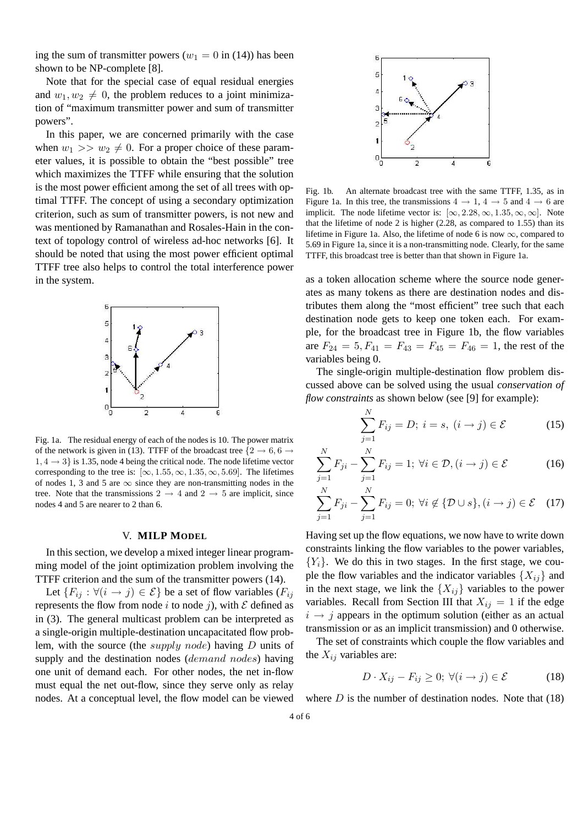ing the sum of transmitter powers ( $w_1 = 0$  in (14)) has been shown to be NP-complete [8].

Note that for the special case of equal residual energies and  $w_1, w_2 \neq 0$ , the problem reduces to a joint minimization of "maximum transmitter power and sum of transmitter powers".

In this paper, we are concerned primarily with the case when  $w_1 >> w_2 \neq 0$ . For a proper choice of these parameter values, it is possible to obtain the "best possible" tree which maximizes the TTFF while ensuring that the solution is the most power efficient among the set of all trees with optimal TTFF. The concept of using a secondary optimization criterion, such as sum of transmitter powers, is not new and was mentioned by Ramanathan and Rosales-Hain in the context of topology control of wireless ad-hoc networks [6]. It should be noted that using the most power efficient optimal TTFF tree also helps to control the total interference power in the system.



Fig. 1a. The residual energy of each of the nodes is 10. The power matrix of the network is given in (13). TTFF of the broadcast tree  $\{2 \rightarrow 6, 6 \rightarrow \}$  $1, 4 \rightarrow 3$  is 1.35, node 4 being the critical node. The node lifetime vector corresponding to the tree is:  $[\infty, 1.55, \infty, 1.35, \infty, 5.69]$ . The lifetimes of nodes 1, 3 and 5 are  $\infty$  since they are non-transmitting nodes in the tree. Note that the transmissions  $2 \rightarrow 4$  and  $2 \rightarrow 5$  are implicit, since nodes 4 and 5 are nearer to 2 than 6.

#### V. **MILP MODEL**

In this section, we develop a mixed integer linear programming model of the joint optimization problem involving the TTFF criterion and the sum of the transmitter powers (14).

Let  $\{F_{ij} : \forall (i \rightarrow j) \in \mathcal{E}\}$  be a set of flow variables  $(F_{ij})$ represents the flow from node i to node j), with  $\mathcal E$  defined as in (3). The general multicast problem can be interpreted as a single-origin multiple-destination uncapacitated flow problem, with the source (the supply node) having D units of supply and the destination nodes (*demand nodes*) having one unit of demand each. For other nodes, the net in-flow must equal the net out-flow, since they serve only as relay nodes. At a conceptual level, the flow model can be viewed



Fig. 1b. An alternate broadcast tree with the same TTFF, 1.35, as in Figure 1a. In this tree, the transmissions  $4 \rightarrow 1, 4 \rightarrow 5$  and  $4 \rightarrow 6$  are implicit. The node lifetime vector is:  $[\infty, 2.28, \infty, 1.35, \infty, \infty]$ . Note that the lifetime of node 2 is higher  $(2.28, \text{ as compared to } 1.55)$  than its lifetime in Figure 1a. Also, the lifetime of node 6 is now  $\infty$ , compared to 5.69 in Figure 1a, since it is a non-transmitting node. Clearly, for the same TTFF, this broadcast tree is better than that shown in Figure 1a.

as a token allocation scheme where the source node generates as many tokens as there are destination nodes and distributes them along the "most efficient" tree such that each destination node gets to keep one token each. For example, for the broadcast tree in Figure 1b, the flow variables are  $F_{24} = 5, F_{41} = F_{43} = F_{45} = F_{46} = 1$ , the rest of the variables being 0.

The single-origin multiple-destination flow problem discussed above can be solved using the usual *conservation of flow constraints* as shown below (see [9] for example):

$$
\sum_{j=1}^{N} F_{ij} = D; i = s, (i \rightarrow j) \in \mathcal{E}
$$
 (15)

$$
\sum_{j=1}^{N} F_{ji} - \sum_{j=1}^{N} F_{ij} = 1; \ \forall i \in \mathcal{D}, (i \to j) \in \mathcal{E}
$$
 (16)

$$
\sum_{j=1}^{N} F_{ji} - \sum_{j=1}^{N} F_{ij} = 0; \ \forall i \notin \{ \mathcal{D} \cup s \}, (i \to j) \in \mathcal{E} \quad (17)
$$

Having set up the flow equations, we now have to write down constraints linking the flow variables to the power variables,  ${Y_i}$ . We do this in two stages. In the first stage, we couple the flow variables and the indicator variables  $\{X_{ij}\}\$ and in the next stage, we link the  $\{X_{ij}\}$  variables to the power variables. Recall from Section III that  $X_{ij} = 1$  if the edge  $i \rightarrow j$  appears in the optimum solution (either as an actual transmission or as an implicit transmission) and 0 otherwise.

The set of constraints which couple the flow variables and the  $X_{ij}$  variables are:

$$
D \cdot X_{ij} - F_{ij} \ge 0; \ \forall (i \to j) \in \mathcal{E} \tag{18}
$$

where  $D$  is the number of destination nodes. Note that  $(18)$ 

N

 $\mathbf{v}$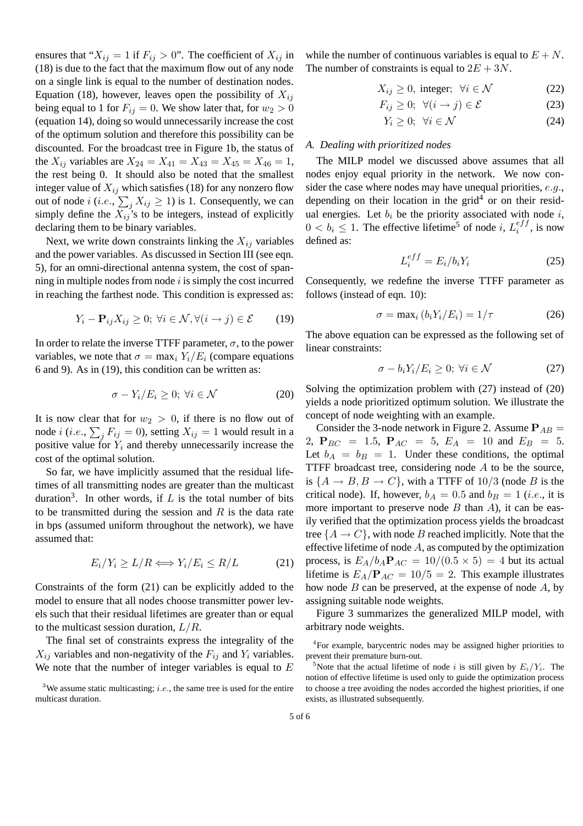ensures that " $X_{ij} = 1$  if  $F_{ij} > 0$ ". The coefficient of  $X_{ij}$  in (18) is due to the fact that the maximum flow out of any node on a single link is equal to the number of destination nodes. Equation (18), however, leaves open the possibility of  $X_{ij}$ being equal to 1 for  $F_{ij} = 0$ . We show later that, for  $w_2 > 0$ (equation 14), doing so would unnecessarily increase the cost of the optimum solution and therefore this possibility can be discounted. For the broadcast tree in Figure 1b, the status of the  $X_{ij}$  variables are  $X_{24} = X_{41} = X_{43} = X_{45} = X_{46} = 1$ , the rest being 0. It should also be noted that the smallest integer value of  $X_{ij}$  which satisfies (18) for any nonzero flow out of node  $i$  (*i.e.*,  $\sum_j X_{ij} \ge 1$ ) is 1. Consequently, we can simply define the  $X_{ij}$ 's to be integers, instead of explicitly declaring them to be binary variables.

Next, we write down constraints linking the  $X_{ij}$  variables and the power variables. As discussed in Section III (see eqn. 5), for an omni-directional antenna system, the cost of spanning in multiple nodes from node  $i$  is simply the cost incurred in reaching the farthest node. This condition is expressed as:

$$
Y_i - \mathbf{P}_{ij} X_{ij} \ge 0; \ \forall i \in \mathcal{N}, \forall (i \to j) \in \mathcal{E} \tag{19}
$$

In order to relate the inverse TTFF parameter,  $\sigma$ , to the power variables, we note that  $\sigma = \max_i Y_i/E_i$  (compare equations 6 and 9). As in (19), this condition can be written as:

$$
\sigma - Y_i / E_i \ge 0; \ \forall i \in \mathcal{N} \tag{20}
$$

It is now clear that for  $w_2 > 0$ , if there is no flow out of node *i* (*i.e.*,  $\sum_j F_{ij} = 0$ ), setting  $X_{ij} = 1$  would result in a positive value for  $Y_i$  and thereby unnecessarily increase the cost of the optimal solution.

So far, we have implicitly assumed that the residual lifetimes of all transmitting nodes are greater than the multicast duration<sup>3</sup>. In other words, if  $L$  is the total number of bits to be transmitted during the session and  $R$  is the data rate in bps (assumed uniform throughout the network), we have assumed that:

$$
E_i/Y_i \ge L/R \Longleftrightarrow Y_i/E_i \le R/L \tag{21}
$$

Constraints of the form (21) can be explicitly added to the model to ensure that all nodes choose transmitter power levels such that their residual lifetimes are greater than or equal to the multicast session duration,  $L/R$ .

The final set of constraints express the integrality of the  $X_{ij}$  variables and non-negativity of the  $F_{ij}$  and  $Y_i$  variables. We note that the number of integer variables is equal to  $E$ 

while the number of continuous variables is equal to  $E + N$ . The number of constraints is equal to  $2E + 3N$ .

$$
X_{ij} \ge 0, \text{ integer}; \forall i \in \mathcal{N} \tag{22}
$$

$$
F_{ij} \ge 0; \ \forall (i \to j) \in \mathcal{E}
$$
 (23)

$$
Y_i \ge 0; \ \forall i \in \mathcal{N} \tag{24}
$$

# *A. Dealing with prioritized nodes*

The MILP model we discussed above assumes that all nodes enjoy equal priority in the network. We now consider the case where nodes may have unequal priorities,  $e.g.,$ depending on their location in the grid<sup>4</sup> or on their residual energies. Let  $b_i$  be the priority associated with node i,  $0 < b_i \leq 1$ . The effective lifetime<sup>5</sup> of node i,  $L_i^{eff}$  $i^{e_{JJ}}$ , is now defined as:

$$
L_i^{eff} = E_i/b_i Y_i \tag{25}
$$

Consequently, we redefine the inverse TTFF parameter as follows (instead of eqn. 10):

$$
\sigma = \max_{i} (b_i Y_i / E_i) = 1/\tau \tag{26}
$$

The above equation can be expressed as the following set of linear constraints:

$$
\sigma - b_i Y_i / E_i \ge 0; \ \forall i \in \mathcal{N} \tag{27}
$$

Solving the optimization problem with (27) instead of (20) yields a node prioritized optimum solution. We illustrate the concept of node weighting with an example.

Consider the 3-node network in Figure 2. Assume  $P_{AB} =$ 2,  $P_{BC} = 1.5$ ,  $P_{AC} = 5$ ,  $E_A = 10$  and  $E_B = 5$ . Let  $b_A = b_B = 1$ . Under these conditions, the optimal TTFF broadcast tree, considering node A to be the source, is  $\{A \rightarrow B, B \rightarrow C\}$ , with a TTFF of 10/3 (node B is the critical node). If, however,  $b_A = 0.5$  and  $b_B = 1$  (*i.e.*, it is more important to preserve node  $B$  than  $A$ ), it can be easily verified that the optimization process yields the broadcast tree  $\{A \rightarrow C\}$ , with node B reached implicitly. Note that the effective lifetime of node  $A$ , as computed by the optimization process, is  $E_A/b_A P_{AC} = 10/(0.5 \times 5) = 4$  but its actual lifetime is  $E_A/\mathbf{P}_{AC} = 10/5 = 2$ . This example illustrates how node  $B$  can be preserved, at the expense of node  $A$ , by assigning suitable node weights.

Figure 3 summarizes the generalized MILP model, with arbitrary node weights.

<sup>&</sup>lt;sup>3</sup>We assume static multicasting; *i.e.*, the same tree is used for the entire multicast duration.

<sup>4</sup> For example, barycentric nodes may be assigned higher priorities to prevent their premature burn-out.

<sup>&</sup>lt;sup>5</sup>Note that the actual lifetime of node i is still given by  $E_i/Y_i$ . The notion of effective lifetime is used only to guide the optimization process to choose a tree avoiding the nodes accorded the highest priorities, if one exists, as illustrated subsequently.